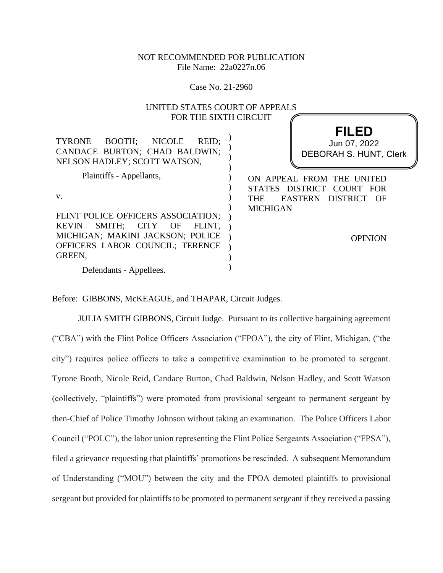# NOT RECOMMENDED FOR PUBLICATION File Name: 22a0227n.06

Case No. 21-2960

# UNITED STATES COURT OF APPEALS FOR THE SIXTH CIRCUIT

| BOOTH; NICOLE<br>REID:<br><b>TYRONE</b><br>CANDACE BURTON; CHAD BALDWIN;<br>NELSON HADLEY; SCOTT WATSON,                                                                                                       | <b>FILED</b><br>Jun 07, 2022<br><b>DEBORAH S. HUNT, Clerk</b>                                                                            |
|----------------------------------------------------------------------------------------------------------------------------------------------------------------------------------------------------------------|------------------------------------------------------------------------------------------------------------------------------------------|
| Plaintiffs - Appellants,<br>V.<br>FLINT POLICE OFFICERS ASSOCIATION;<br>SMITH:<br>CITY<br>OF<br><b>KEVIN</b><br>FLINT.<br>MICHIGAN; MAKINI JACKSON; POLICE<br>OFFICERS LABOR COUNCIL; TERENCE<br><b>GREEN.</b> | ON APPEAL FROM THE UNITED<br>STATES DISTRICT COURT FOR<br>EASTERN<br>DISTRICT<br><b>THE</b><br>– OF<br><b>MICHIGAN</b><br><b>OPINION</b> |
| Defendants - Appellees.                                                                                                                                                                                        |                                                                                                                                          |

Before: GIBBONS, McKEAGUE, and THAPAR, Circuit Judges.

JULIA SMITH GIBBONS, Circuit Judge. Pursuant to its collective bargaining agreement ("CBA") with the Flint Police Officers Association ("FPOA"), the city of Flint, Michigan, ("the city") requires police officers to take a competitive examination to be promoted to sergeant. Tyrone Booth, Nicole Reid, Candace Burton, Chad Baldwin, Nelson Hadley, and Scott Watson (collectively, "plaintiffs") were promoted from provisional sergeant to permanent sergeant by then-Chief of Police Timothy Johnson without taking an examination. The Police Officers Labor Council ("POLC"), the labor union representing the Flint Police Sergeants Association ("FPSA"), filed a grievance requesting that plaintiffs' promotions be rescinded. A subsequent Memorandum of Understanding ("MOU") between the city and the FPOA demoted plaintiffs to provisional sergeant but provided for plaintiffs to be promoted to permanent sergeant if they received a passing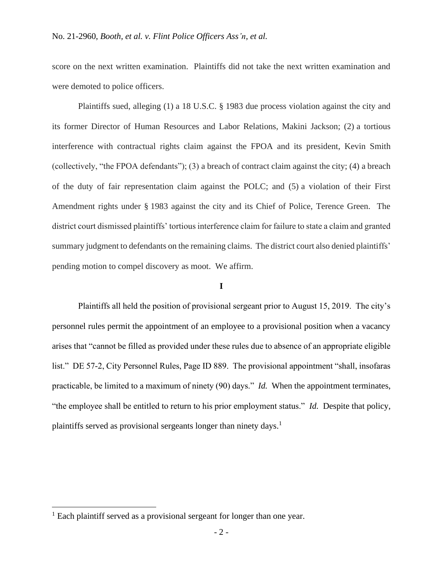score on the next written examination. Plaintiffs did not take the next written examination and were demoted to police officers.

Plaintiffs sued, alleging (1) a 18 U.S.C. § 1983 due process violation against the city and its former Director of Human Resources and Labor Relations, Makini Jackson; (2) a tortious interference with contractual rights claim against the FPOA and its president, Kevin Smith (collectively, "the FPOA defendants"); (3) a breach of contract claim against the city; (4) a breach of the duty of fair representation claim against the POLC; and (5) a violation of their First Amendment rights under § 1983 against the city and its Chief of Police, Terence Green. The district court dismissed plaintiffs' tortious interference claim for failure to state a claim and granted summary judgment to defendants on the remaining claims. The district court also denied plaintiffs' pending motion to compel discovery as moot. We affirm.

# **I**

Plaintiffs all held the position of provisional sergeant prior to August 15, 2019. The city's personnel rules permit the appointment of an employee to a provisional position when a vacancy arises that "cannot be filled as provided under these rules due to absence of an appropriate eligible list." DE 57-2, City Personnel Rules, Page ID 889. The provisional appointment "shall, insofaras practicable, be limited to a maximum of ninety (90) days." *Id.* When the appointment terminates, "the employee shall be entitled to return to his prior employment status." *Id.* Despite that policy, plaintiffs served as provisional sergeants longer than ninety days.<sup>1</sup>

<sup>&</sup>lt;sup>1</sup> Each plaintiff served as a provisional sergeant for longer than one year.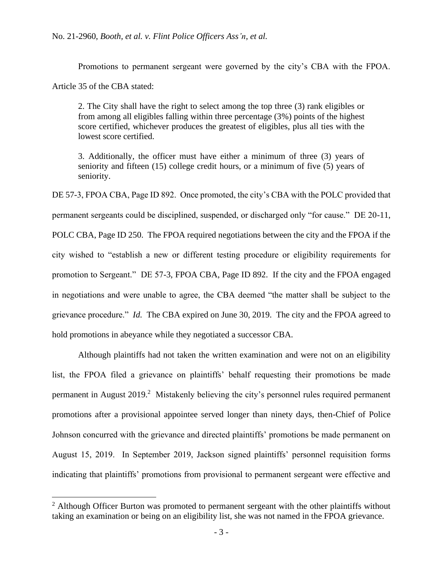Promotions to permanent sergeant were governed by the city's CBA with the FPOA.

Article 35 of the CBA stated:

2. The City shall have the right to select among the top three (3) rank eligibles or from among all eligibles falling within three percentage (3%) points of the highest score certified, whichever produces the greatest of eligibles, plus all ties with the lowest score certified.

3. Additionally, the officer must have either a minimum of three (3) years of seniority and fifteen (15) college credit hours, or a minimum of five (5) years of seniority.

DE 57-3, FPOA CBA, Page ID 892. Once promoted, the city's CBA with the POLC provided that permanent sergeants could be disciplined, suspended, or discharged only "for cause." DE 20-11, POLC CBA, Page ID 250. The FPOA required negotiations between the city and the FPOA if the city wished to "establish a new or different testing procedure or eligibility requirements for promotion to Sergeant." DE 57-3, FPOA CBA, Page ID 892. If the city and the FPOA engaged in negotiations and were unable to agree, the CBA deemed "the matter shall be subject to the grievance procedure." *Id.* The CBA expired on June 30, 2019. The city and the FPOA agreed to hold promotions in abeyance while they negotiated a successor CBA.

Although plaintiffs had not taken the written examination and were not on an eligibility list, the FPOA filed a grievance on plaintiffs' behalf requesting their promotions be made permanent in August 2019.<sup>2</sup> Mistakenly believing the city's personnel rules required permanent promotions after a provisional appointee served longer than ninety days, then-Chief of Police Johnson concurred with the grievance and directed plaintiffs' promotions be made permanent on August 15, 2019. In September 2019, Jackson signed plaintiffs' personnel requisition forms indicating that plaintiffs' promotions from provisional to permanent sergeant were effective and

 $2$  Although Officer Burton was promoted to permanent sergeant with the other plaintiffs without taking an examination or being on an eligibility list, she was not named in the FPOA grievance.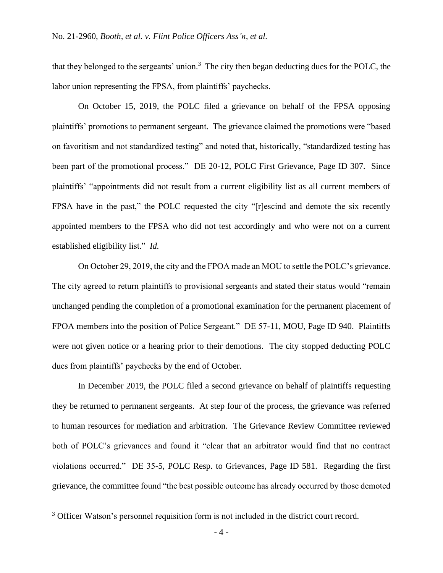that they belonged to the sergeants' union.<sup>3</sup> The city then began deducting dues for the POLC, the labor union representing the FPSA, from plaintiffs' paychecks.

On October 15, 2019, the POLC filed a grievance on behalf of the FPSA opposing plaintiffs' promotions to permanent sergeant. The grievance claimed the promotions were "based on favoritism and not standardized testing" and noted that, historically, "standardized testing has been part of the promotional process." DE 20-12, POLC First Grievance, Page ID 307. Since plaintiffs' "appointments did not result from a current eligibility list as all current members of FPSA have in the past," the POLC requested the city "[r]escind and demote the six recently appointed members to the FPSA who did not test accordingly and who were not on a current established eligibility list." *Id.*

On October 29, 2019, the city and the FPOA made an MOU to settle the POLC's grievance. The city agreed to return plaintiffs to provisional sergeants and stated their status would "remain unchanged pending the completion of a promotional examination for the permanent placement of FPOA members into the position of Police Sergeant." DE 57-11, MOU, Page ID 940. Plaintiffs were not given notice or a hearing prior to their demotions. The city stopped deducting POLC dues from plaintiffs' paychecks by the end of October.

In December 2019, the POLC filed a second grievance on behalf of plaintiffs requesting they be returned to permanent sergeants. At step four of the process, the grievance was referred to human resources for mediation and arbitration. The Grievance Review Committee reviewed both of POLC's grievances and found it "clear that an arbitrator would find that no contract violations occurred." DE 35-5, POLC Resp. to Grievances, Page ID 581. Regarding the first grievance, the committee found "the best possible outcome has already occurred by those demoted

<sup>&</sup>lt;sup>3</sup> Officer Watson's personnel requisition form is not included in the district court record.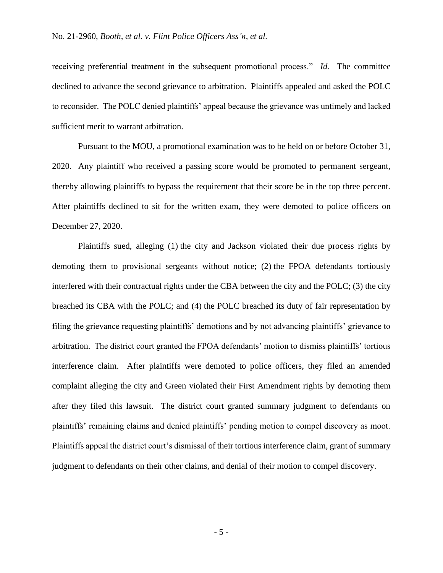receiving preferential treatment in the subsequent promotional process." *Id.* The committee declined to advance the second grievance to arbitration. Plaintiffs appealed and asked the POLC to reconsider. The POLC denied plaintiffs' appeal because the grievance was untimely and lacked sufficient merit to warrant arbitration.

Pursuant to the MOU, a promotional examination was to be held on or before October 31, 2020. Any plaintiff who received a passing score would be promoted to permanent sergeant, thereby allowing plaintiffs to bypass the requirement that their score be in the top three percent. After plaintiffs declined to sit for the written exam, they were demoted to police officers on December 27, 2020.

Plaintiffs sued, alleging (1) the city and Jackson violated their due process rights by demoting them to provisional sergeants without notice; (2) the FPOA defendants tortiously interfered with their contractual rights under the CBA between the city and the POLC; (3) the city breached its CBA with the POLC; and (4) the POLC breached its duty of fair representation by filing the grievance requesting plaintiffs' demotions and by not advancing plaintiffs' grievance to arbitration. The district court granted the FPOA defendants' motion to dismiss plaintiffs' tortious interference claim. After plaintiffs were demoted to police officers, they filed an amended complaint alleging the city and Green violated their First Amendment rights by demoting them after they filed this lawsuit. The district court granted summary judgment to defendants on plaintiffs' remaining claims and denied plaintiffs' pending motion to compel discovery as moot. Plaintiffs appeal the district court's dismissal of their tortious interference claim, grant of summary judgment to defendants on their other claims, and denial of their motion to compel discovery.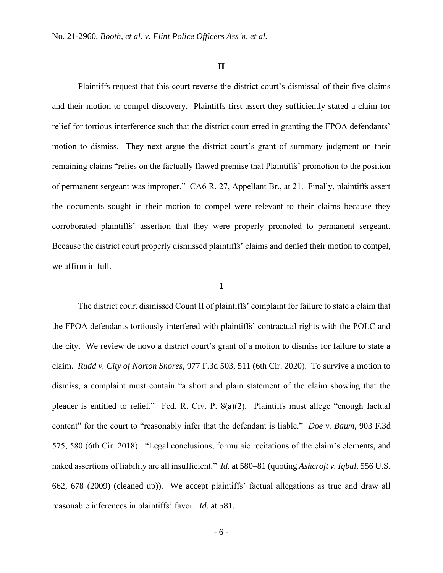#### **II**

Plaintiffs request that this court reverse the district court's dismissal of their five claims and their motion to compel discovery. Plaintiffs first assert they sufficiently stated a claim for relief for tortious interference such that the district court erred in granting the FPOA defendants' motion to dismiss. They next argue the district court's grant of summary judgment on their remaining claims "relies on the factually flawed premise that Plaintiffs' promotion to the position of permanent sergeant was improper." CA6 R. 27, Appellant Br., at 21. Finally, plaintiffs assert the documents sought in their motion to compel were relevant to their claims because they corroborated plaintiffs' assertion that they were properly promoted to permanent sergeant. Because the district court properly dismissed plaintiffs' claims and denied their motion to compel, we affirm in full.

# **1**

The district court dismissed Count II of plaintiffs' complaint for failure to state a claim that the FPOA defendants tortiously interfered with plaintiffs' contractual rights with the POLC and the city. We review de novo a district court's grant of a motion to dismiss for failure to state a claim. *Rudd v. City of Norton Shores*, 977 F.3d 503, 511 (6th Cir. 2020). To survive a motion to dismiss, a complaint must contain "a short and plain statement of the claim showing that the pleader is entitled to relief." Fed. R. Civ. P. 8(a)(2). Plaintiffs must allege "enough factual content" for the court to "reasonably infer that the defendant is liable." *Doe v. Baum*, 903 F.3d 575, 580 (6th Cir. 2018). "Legal conclusions, formulaic recitations of the claim's elements, and naked assertions of liability are all insufficient." *Id.* at 580–81 (quoting *Ashcroft v. Iqbal*, 556 U.S. 662, 678 (2009) (cleaned up)). We accept plaintiffs' factual allegations as true and draw all reasonable inferences in plaintiffs' favor. *Id.* at 581.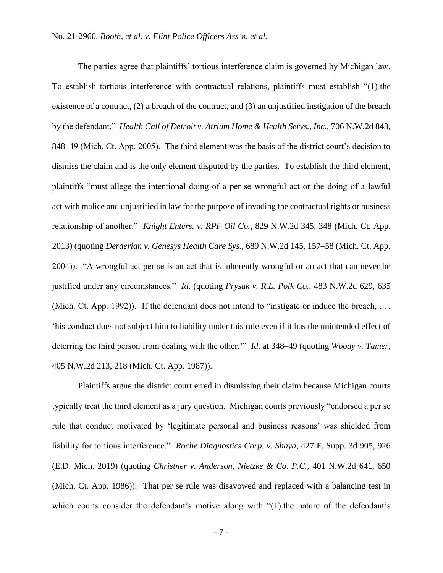The parties agree that plaintiffs' tortious interference claim is governed by Michigan law. To establish tortious interference with contractual relations, plaintiffs must establish "(1) the existence of a contract, (2) a breach of the contract, and (3) an unjustified instigation of the breach by the defendant." *Health Call of Detroit v. Atrium Home & Health Servs., Inc.*, 706 N.W.2d 843, 848–49 (Mich. Ct. App. 2005). The third element was the basis of the district court's decision to dismiss the claim and is the only element disputed by the parties. To establish the third element, plaintiffs "must allege the intentional doing of a per se wrongful act or the doing of a lawful act with malice and unjustified in law for the purpose of invading the contractual rights or business relationship of another." *Knight Enters. v. RPF Oil Co.*, 829 N.W.2d 345, 348 (Mich. Ct. App. 2013) (quoting *Derderian v. Genesys Health Care Sys.*, 689 N.W.2d 145, 157–58 (Mich. Ct. App. 2004)). "A wrongful act per se is an act that is inherently wrongful or an act that can never be justified under any circumstances." *Id.* (quoting *Prysak v. R.L. Polk Co.*, 483 N.W.2d 629, 635 (Mich. Ct. App. 1992)). If the defendant does not intend to "instigate or induce the breach, ... 'his conduct does not subject him to liability under this rule even if it has the unintended effect of deterring the third person from dealing with the other.'" *Id.* at 348–49 (quoting *Woody v. Tamer*, 405 N.W.2d 213, 218 (Mich. Ct. App. 1987)).

Plaintiffs argue the district court erred in dismissing their claim because Michigan courts typically treat the third element as a jury question. Michigan courts previously "endorsed a per se rule that conduct motivated by 'legitimate personal and business reasons' was shielded from liability for tortious interference." *Roche Diagnostics Corp. v. Shaya*, 427 F. Supp. 3d 905, 926 (E.D. Mich. 2019) (quoting *Christner v. Anderson, Nietzke & Co. P.C.*, 401 N.W.2d 641, 650 (Mich. Ct. App. 1986)). That per se rule was disavowed and replaced with a balancing test in which courts consider the defendant's motive along with "(1) the nature of the defendant's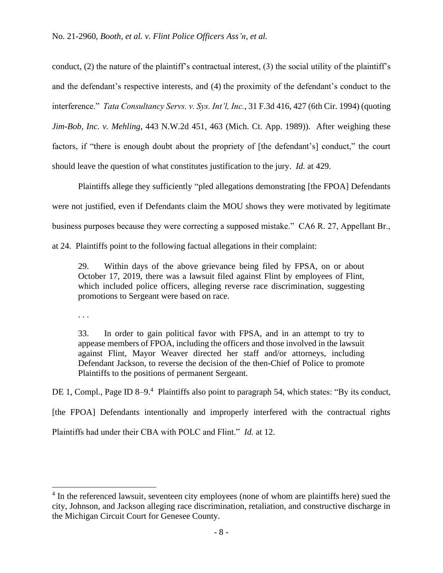conduct, (2) the nature of the plaintiff's contractual interest, (3) the social utility of the plaintiff's and the defendant's respective interests, and (4) the proximity of the defendant's conduct to the interference." *Tata Consultancy Servs. v. Sys. Int'l, Inc.*, 31 F.3d 416, 427 (6th Cir. 1994) (quoting *Jim-Bob, Inc. v. Mehling*, 443 N.W.2d 451, 463 (Mich. Ct. App. 1989)). After weighing these factors, if "there is enough doubt about the propriety of [the defendant's] conduct," the court should leave the question of what constitutes justification to the jury. *Id.* at 429.

Plaintiffs allege they sufficiently "pled allegations demonstrating [the FPOA] Defendants were not justified, even if Defendants claim the MOU shows they were motivated by legitimate business purposes because they were correcting a supposed mistake." CA6 R. 27, Appellant Br.,

at 24. Plaintiffs point to the following factual allegations in their complaint:

29. Within days of the above grievance being filed by FPSA, on or about October 17, 2019, there was a lawsuit filed against Flint by employees of Flint, which included police officers, alleging reverse race discrimination, suggesting promotions to Sergeant were based on race.

. . .

33. In order to gain political favor with FPSA, and in an attempt to try to appease members of FPOA, including the officers and those involved in the lawsuit against Flint, Mayor Weaver directed her staff and/or attorneys, including Defendant Jackson, to reverse the decision of the then-Chief of Police to promote Plaintiffs to the positions of permanent Sergeant.

DE 1, Compl., Page ID 8–9.<sup>4</sup> Plaintiffs also point to paragraph 54, which states: "By its conduct, [the FPOA] Defendants intentionally and improperly interfered with the contractual rights

Plaintiffs had under their CBA with POLC and Flint." *Id.* at 12.

<sup>&</sup>lt;sup>4</sup> In the referenced lawsuit, seventeen city employees (none of whom are plaintiffs here) sued the city, Johnson, and Jackson alleging race discrimination, retaliation, and constructive discharge in the Michigan Circuit Court for Genesee County.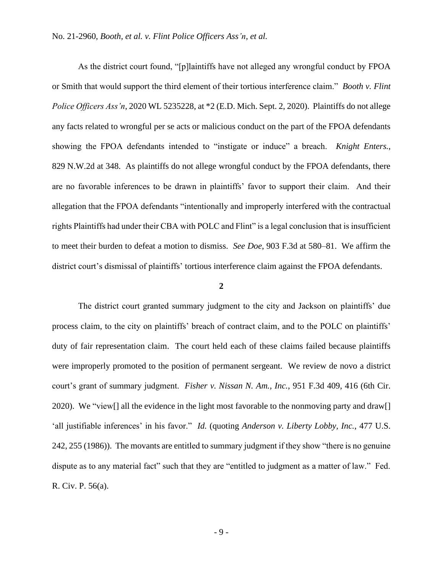As the district court found, "[p]laintiffs have not alleged any wrongful conduct by FPOA or Smith that would support the third element of their tortious interference claim." *Booth v. Flint Police Officers Ass'n*, 2020 WL 5235228, at \*2 (E.D. Mich. Sept. 2, 2020). Plaintiffs do not allege any facts related to wrongful per se acts or malicious conduct on the part of the FPOA defendants showing the FPOA defendants intended to "instigate or induce" a breach. *Knight Enters.*, 829 N.W.2d at 348. As plaintiffs do not allege wrongful conduct by the FPOA defendants, there are no favorable inferences to be drawn in plaintiffs' favor to support their claim. And their allegation that the FPOA defendants "intentionally and improperly interfered with the contractual rights Plaintiffs had under their CBA with POLC and Flint" is a legal conclusion that is insufficient to meet their burden to defeat a motion to dismiss. *See Doe*, 903 F.3d at 580–81. We affirm the district court's dismissal of plaintiffs' tortious interference claim against the FPOA defendants.

# **2**

The district court granted summary judgment to the city and Jackson on plaintiffs' due process claim, to the city on plaintiffs' breach of contract claim, and to the POLC on plaintiffs' duty of fair representation claim. The court held each of these claims failed because plaintiffs were improperly promoted to the position of permanent sergeant. We review de novo a district court's grant of summary judgment. *Fisher v. Nissan N. Am., Inc.*, 951 F.3d 409, 416 (6th Cir. 2020). We "view[] all the evidence in the light most favorable to the nonmoving party and draw[] 'all justifiable inferences' in his favor." *Id.* (quoting *Anderson v. Liberty Lobby, Inc.*, 477 U.S. 242, 255 (1986)). The movants are entitled to summary judgment if they show "there is no genuine dispute as to any material fact" such that they are "entitled to judgment as a matter of law." Fed. R. Civ. P. 56(a).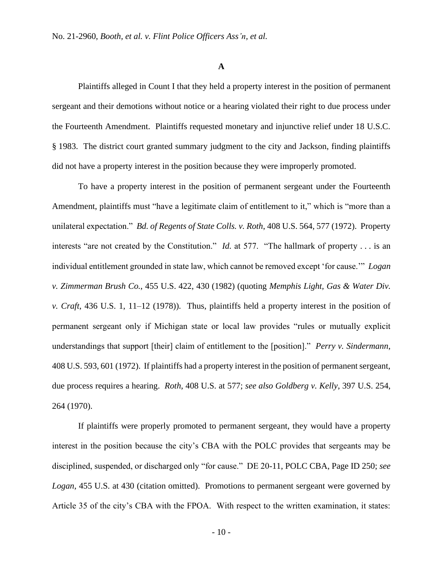#### **A**

Plaintiffs alleged in Count I that they held a property interest in the position of permanent sergeant and their demotions without notice or a hearing violated their right to due process under the Fourteenth Amendment. Plaintiffs requested monetary and injunctive relief under 18 U.S.C. § 1983. The district court granted summary judgment to the city and Jackson, finding plaintiffs did not have a property interest in the position because they were improperly promoted.

To have a property interest in the position of permanent sergeant under the Fourteenth Amendment, plaintiffs must "have a legitimate claim of entitlement to it," which is "more than a unilateral expectation." *Bd. of Regents of State Colls. v. Roth*, 408 U.S. 564, 577 (1972). Property interests "are not created by the Constitution." *Id.* at 577. "The hallmark of property . . . is an individual entitlement grounded in state law, which cannot be removed except 'for cause.'" *Logan v. Zimmerman Brush Co.*, 455 U.S. 422, 430 (1982) (quoting *Memphis Light, Gas & Water Div. v. Craft*, 436 U.S. 1, 11–12 (1978)). Thus, plaintiffs held a property interest in the position of permanent sergeant only if Michigan state or local law provides "rules or mutually explicit understandings that support [their] claim of entitlement to the [position]." *Perry v. Sindermann*, 408 U.S. 593, 601 (1972). If plaintiffs had a property interest in the position of permanent sergeant, due process requires a hearing. *Roth*, 408 U.S. at 577; *see also Goldberg v. Kelly*, 397 U.S. 254, 264 (1970).

If plaintiffs were properly promoted to permanent sergeant, they would have a property interest in the position because the city's CBA with the POLC provides that sergeants may be disciplined, suspended, or discharged only "for cause." DE 20-11, POLC CBA, Page ID 250; *see Logan*, 455 U.S. at 430 (citation omitted). Promotions to permanent sergeant were governed by Article 35 of the city's CBA with the FPOA. With respect to the written examination, it states: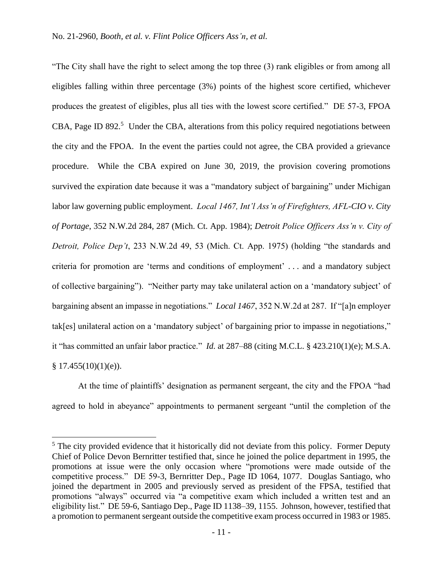"The City shall have the right to select among the top three (3) rank eligibles or from among all eligibles falling within three percentage (3%) points of the highest score certified, whichever produces the greatest of eligibles, plus all ties with the lowest score certified." DE 57-3, FPOA CBA, Page ID 892. $5$  Under the CBA, alterations from this policy required negotiations between the city and the FPOA. In the event the parties could not agree, the CBA provided a grievance procedure. While the CBA expired on June 30, 2019, the provision covering promotions survived the expiration date because it was a "mandatory subject of bargaining" under Michigan labor law governing public employment. *Local 1467, Int'l Ass'n of Firefighters, AFL-CIO v. City of Portage*, 352 N.W.2d 284, 287 (Mich. Ct. App. 1984); *Detroit Police Officers Ass'n v. City of Detroit, Police Dep't*, 233 N.W.2d 49, 53 (Mich. Ct. App. 1975) (holding "the standards and criteria for promotion are 'terms and conditions of employment' . . . and a mandatory subject of collective bargaining"). "Neither party may take unilateral action on a 'mandatory subject' of bargaining absent an impasse in negotiations." *Local 1467*, 352 N.W.2d at 287. If "[a]n employer tak[es] unilateral action on a 'mandatory subject' of bargaining prior to impasse in negotiations," it "has committed an unfair labor practice." *Id.* at 287–88 (citing M.C.L. § 423.210(1)(e); M.S.A.  $§ 17.455(10)(1)(e)$ .

At the time of plaintiffs' designation as permanent sergeant, the city and the FPOA "had agreed to hold in abeyance" appointments to permanent sergeant "until the completion of the

 $<sup>5</sup>$  The city provided evidence that it historically did not deviate from this policy. Former Deputy</sup> Chief of Police Devon Bernritter testified that, since he joined the police department in 1995, the promotions at issue were the only occasion where "promotions were made outside of the competitive process." DE 59-3, Bernritter Dep., Page ID 1064, 1077. Douglas Santiago, who joined the department in 2005 and previously served as president of the FPSA, testified that promotions "always" occurred via "a competitive exam which included a written test and an eligibility list." DE 59-6, Santiago Dep., Page ID 1138–39, 1155. Johnson, however, testified that a promotion to permanent sergeant outside the competitive exam process occurred in 1983 or 1985.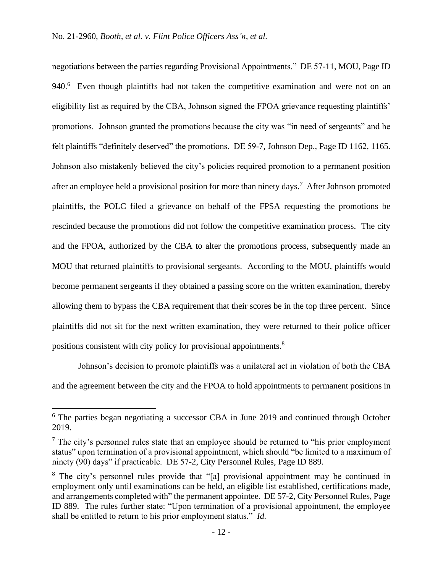negotiations between the parties regarding Provisional Appointments." DE 57-11, MOU, Page ID 940.<sup>6</sup> Even though plaintiffs had not taken the competitive examination and were not on an eligibility list as required by the CBA, Johnson signed the FPOA grievance requesting plaintiffs' promotions. Johnson granted the promotions because the city was "in need of sergeants" and he felt plaintiffs "definitely deserved" the promotions. DE 59-7, Johnson Dep., Page ID 1162, 1165. Johnson also mistakenly believed the city's policies required promotion to a permanent position after an employee held a provisional position for more than ninety days.<sup>7</sup> After Johnson promoted plaintiffs, the POLC filed a grievance on behalf of the FPSA requesting the promotions be rescinded because the promotions did not follow the competitive examination process. The city and the FPOA, authorized by the CBA to alter the promotions process, subsequently made an MOU that returned plaintiffs to provisional sergeants. According to the MOU, plaintiffs would become permanent sergeants if they obtained a passing score on the written examination, thereby allowing them to bypass the CBA requirement that their scores be in the top three percent. Since plaintiffs did not sit for the next written examination, they were returned to their police officer positions consistent with city policy for provisional appointments.<sup>8</sup>

Johnson's decision to promote plaintiffs was a unilateral act in violation of both the CBA and the agreement between the city and the FPOA to hold appointments to permanent positions in

<sup>6</sup> The parties began negotiating a successor CBA in June 2019 and continued through October 2019.

 $<sup>7</sup>$  The city's personnel rules state that an employee should be returned to "his prior employment"</sup> status" upon termination of a provisional appointment, which should "be limited to a maximum of ninety (90) days" if practicable. DE 57-2, City Personnel Rules, Page ID 889.

<sup>&</sup>lt;sup>8</sup> The city's personnel rules provide that "[a] provisional appointment may be continued in employment only until examinations can be held, an eligible list established, certifications made, and arrangements completed with" the permanent appointee. DE 57-2, City Personnel Rules, Page ID 889. The rules further state: "Upon termination of a provisional appointment, the employee shall be entitled to return to his prior employment status." *Id.*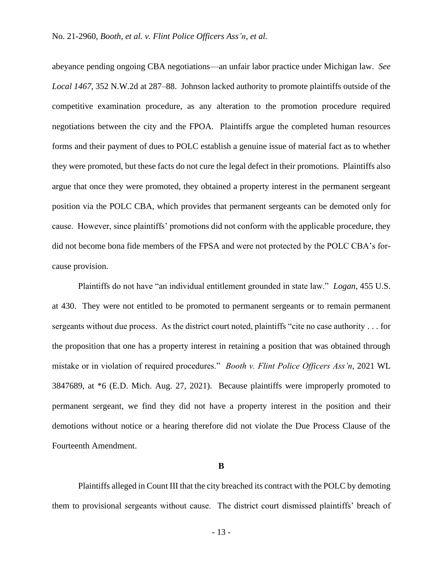abeyance pending ongoing CBA negotiations—an unfair labor practice under Michigan law. *See Local 1467*, 352 N.W.2d at 287–88. Johnson lacked authority to promote plaintiffs outside of the competitive examination procedure, as any alteration to the promotion procedure required negotiations between the city and the FPOA. Plaintiffs argue the completed human resources forms and their payment of dues to POLC establish a genuine issue of material fact as to whether they were promoted, but these facts do not cure the legal defect in their promotions. Plaintiffs also argue that once they were promoted, they obtained a property interest in the permanent sergeant position via the POLC CBA, which provides that permanent sergeants can be demoted only for cause. However, since plaintiffs' promotions did not conform with the applicable procedure, they did not become bona fide members of the FPSA and were not protected by the POLC CBA's forcause provision.

Plaintiffs do not have "an individual entitlement grounded in state law." *Logan*, 455 U.S. at 430. They were not entitled to be promoted to permanent sergeants or to remain permanent sergeants without due process. As the district court noted, plaintiffs "cite no case authority . . . for the proposition that one has a property interest in retaining a position that was obtained through mistake or in violation of required procedures." *Booth v. Flint Police Officers Ass'n*, 2021 WL 3847689, at \*6 (E.D. Mich. Aug. 27, 2021). Because plaintiffs were improperly promoted to permanent sergeant, we find they did not have a property interest in the position and their demotions without notice or a hearing therefore did not violate the Due Process Clause of the Fourteenth Amendment.

### **B**

Plaintiffs alleged in Count III that the city breached its contract with the POLC by demoting them to provisional sergeants without cause. The district court dismissed plaintiffs' breach of

- 13 -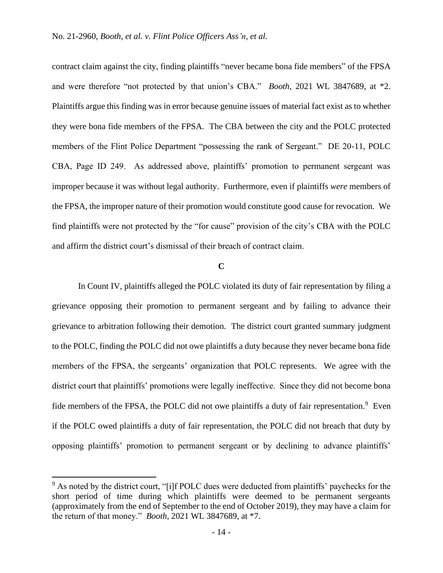contract claim against the city, finding plaintiffs "never became bona fide members" of the FPSA and were therefore "not protected by that union's CBA." *Booth*, 2021 WL 3847689, at \*2. Plaintiffs argue this finding was in error because genuine issues of material fact exist as to whether they were bona fide members of the FPSA. The CBA between the city and the POLC protected members of the Flint Police Department "possessing the rank of Sergeant." DE 20-11, POLC CBA, Page ID 249. As addressed above, plaintiffs' promotion to permanent sergeant was improper because it was without legal authority. Furthermore, even if plaintiffs *were* members of the FPSA, the improper nature of their promotion would constitute good cause for revocation. We find plaintiffs were not protected by the "for cause" provision of the city's CBA with the POLC and affirm the district court's dismissal of their breach of contract claim.

### **C**

In Count IV, plaintiffs alleged the POLC violated its duty of fair representation by filing a grievance opposing their promotion to permanent sergeant and by failing to advance their grievance to arbitration following their demotion. The district court granted summary judgment to the POLC, finding the POLC did not owe plaintiffs a duty because they never became bona fide members of the FPSA, the sergeants' organization that POLC represents. We agree with the district court that plaintiffs' promotions were legally ineffective. Since they did not become bona fide members of the FPSA, the POLC did not owe plaintiffs a duty of fair representation.<sup>9</sup> Even if the POLC owed plaintiffs a duty of fair representation, the POLC did not breach that duty by opposing plaintiffs' promotion to permanent sergeant or by declining to advance plaintiffs'

 $9$  As noted by the district court, "[i]f POLC dues were deducted from plaintiffs' paychecks for the short period of time during which plaintiffs were deemed to be permanent sergeants (approximately from the end of September to the end of October 2019), they may have a claim for the return of that money." *Booth*, 2021 WL 3847689, at \*7.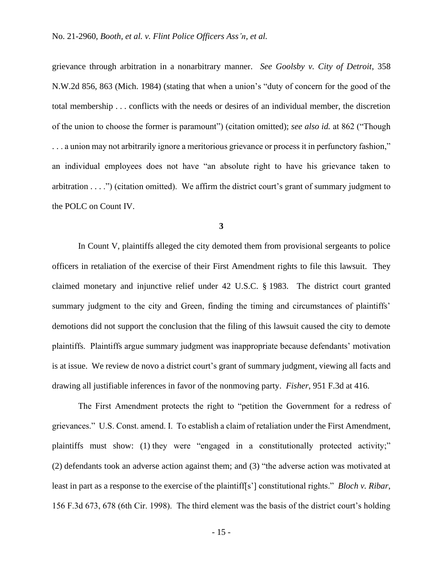grievance through arbitration in a nonarbitrary manner. *See Goolsby v. City of Detroit*, 358 N.W.2d 856, 863 (Mich. 1984) (stating that when a union's "duty of concern for the good of the total membership . . . conflicts with the needs or desires of an individual member, the discretion of the union to choose the former is paramount") (citation omitted); *see also id.* at 862 ("Though . . . a union may not arbitrarily ignore a meritorious grievance or process it in perfunctory fashion," an individual employees does not have "an absolute right to have his grievance taken to arbitration . . . .") (citation omitted). We affirm the district court's grant of summary judgment to the POLC on Count IV.

**3**

In Count V, plaintiffs alleged the city demoted them from provisional sergeants to police officers in retaliation of the exercise of their First Amendment rights to file this lawsuit. They claimed monetary and injunctive relief under 42 U.S.C. § 1983. The district court granted summary judgment to the city and Green, finding the timing and circumstances of plaintiffs' demotions did not support the conclusion that the filing of this lawsuit caused the city to demote plaintiffs. Plaintiffs argue summary judgment was inappropriate because defendants' motivation is at issue. We review de novo a district court's grant of summary judgment, viewing all facts and drawing all justifiable inferences in favor of the nonmoving party. *Fisher*, 951 F.3d at 416.

The First Amendment protects the right to "petition the Government for a redress of grievances." U.S. Const. amend. I. To establish a claim of retaliation under the First Amendment, plaintiffs must show: (1) they were "engaged in a constitutionally protected activity;" (2) defendants took an adverse action against them; and (3) "the adverse action was motivated at least in part as a response to the exercise of the plaintiff[s'] constitutional rights." *Bloch v. Ribar*, 156 F.3d 673, 678 (6th Cir. 1998). The third element was the basis of the district court's holding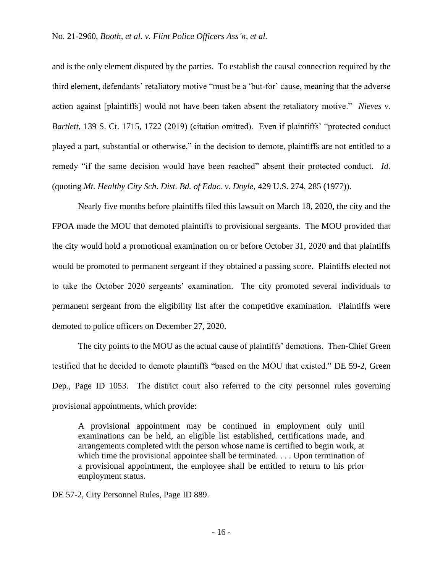and is the only element disputed by the parties. To establish the causal connection required by the third element, defendants' retaliatory motive "must be a 'but-for' cause, meaning that the adverse action against [plaintiffs] would not have been taken absent the retaliatory motive." *Nieves v. Bartlett*, 139 S. Ct. 1715, 1722 (2019) (citation omitted). Even if plaintiffs' "protected conduct played a part, substantial or otherwise," in the decision to demote, plaintiffs are not entitled to a remedy "if the same decision would have been reached" absent their protected conduct. *Id.* (quoting *Mt. Healthy City Sch. Dist. Bd. of Educ. v. Doyle*, 429 U.S. 274, 285 (1977)).

Nearly five months before plaintiffs filed this lawsuit on March 18, 2020, the city and the FPOA made the MOU that demoted plaintiffs to provisional sergeants. The MOU provided that the city would hold a promotional examination on or before October 31, 2020 and that plaintiffs would be promoted to permanent sergeant if they obtained a passing score. Plaintiffs elected not to take the October 2020 sergeants' examination. The city promoted several individuals to permanent sergeant from the eligibility list after the competitive examination. Plaintiffs were demoted to police officers on December 27, 2020.

The city points to the MOU as the actual cause of plaintiffs' demotions. Then-Chief Green testified that he decided to demote plaintiffs "based on the MOU that existed." DE 59-2, Green Dep., Page ID 1053. The district court also referred to the city personnel rules governing provisional appointments, which provide:

A provisional appointment may be continued in employment only until examinations can be held, an eligible list established, certifications made, and arrangements completed with the person whose name is certified to begin work, at which time the provisional appointee shall be terminated. . . . Upon termination of a provisional appointment, the employee shall be entitled to return to his prior employment status.

DE 57-2, City Personnel Rules, Page ID 889.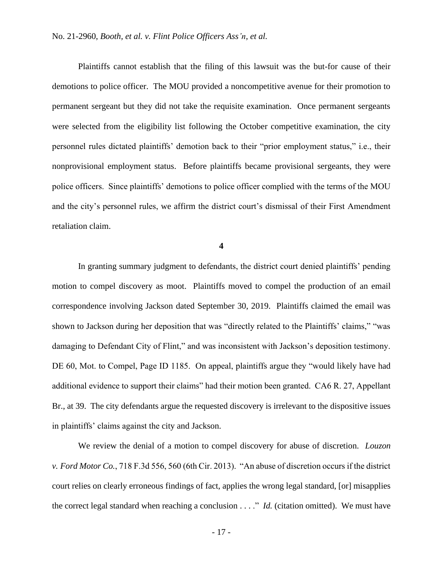Plaintiffs cannot establish that the filing of this lawsuit was the but-for cause of their demotions to police officer. The MOU provided a noncompetitive avenue for their promotion to permanent sergeant but they did not take the requisite examination. Once permanent sergeants were selected from the eligibility list following the October competitive examination, the city personnel rules dictated plaintiffs' demotion back to their "prior employment status," i.e., their nonprovisional employment status. Before plaintiffs became provisional sergeants, they were police officers. Since plaintiffs' demotions to police officer complied with the terms of the MOU and the city's personnel rules, we affirm the district court's dismissal of their First Amendment retaliation claim.

**4**

In granting summary judgment to defendants, the district court denied plaintiffs' pending motion to compel discovery as moot. Plaintiffs moved to compel the production of an email correspondence involving Jackson dated September 30, 2019. Plaintiffs claimed the email was shown to Jackson during her deposition that was "directly related to the Plaintiffs' claims," "was damaging to Defendant City of Flint," and was inconsistent with Jackson's deposition testimony. DE 60, Mot. to Compel, Page ID 1185. On appeal, plaintiffs argue they "would likely have had additional evidence to support their claims" had their motion been granted. CA6 R. 27, Appellant Br., at 39. The city defendants argue the requested discovery is irrelevant to the dispositive issues in plaintiffs' claims against the city and Jackson.

We review the denial of a motion to compel discovery for abuse of discretion. *Louzon v. Ford Motor Co.*, 718 F.3d 556, 560 (6th Cir. 2013). "An abuse of discretion occurs if the district court relies on clearly erroneous findings of fact, applies the wrong legal standard, [or] misapplies the correct legal standard when reaching a conclusion . . . ." *Id.* (citation omitted). We must have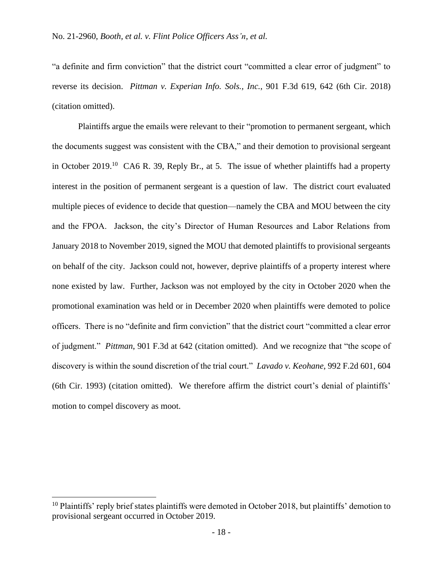"a definite and firm conviction" that the district court "committed a clear error of judgment" to reverse its decision. *Pittman v. Experian Info. Sols., Inc.*, 901 F.3d 619, 642 (6th Cir. 2018) (citation omitted).

Plaintiffs argue the emails were relevant to their "promotion to permanent sergeant, which the documents suggest was consistent with the CBA," and their demotion to provisional sergeant in October 2019.<sup>10</sup> CA6 R. 39, Reply Br., at 5. The issue of whether plaintiffs had a property interest in the position of permanent sergeant is a question of law. The district court evaluated multiple pieces of evidence to decide that question—namely the CBA and MOU between the city and the FPOA. Jackson, the city's Director of Human Resources and Labor Relations from January 2018 to November 2019, signed the MOU that demoted plaintiffs to provisional sergeants on behalf of the city. Jackson could not, however, deprive plaintiffs of a property interest where none existed by law. Further, Jackson was not employed by the city in October 2020 when the promotional examination was held or in December 2020 when plaintiffs were demoted to police officers. There is no "definite and firm conviction" that the district court "committed a clear error of judgment." *Pittman*, 901 F.3d at 642 (citation omitted). And we recognize that "the scope of discovery is within the sound discretion of the trial court." *Lavado v. Keohane*, 992 F.2d 601, 604 (6th Cir. 1993) (citation omitted). We therefore affirm the district court's denial of plaintiffs' motion to compel discovery as moot.

 $10$  Plaintiffs' reply brief states plaintiffs were demoted in October 2018, but plaintiffs' demotion to provisional sergeant occurred in October 2019.